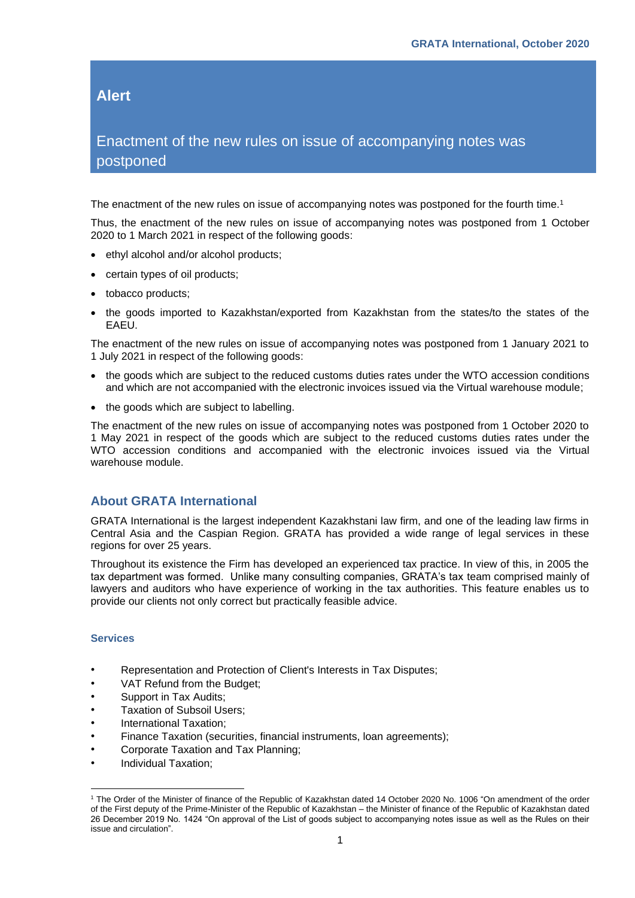## **Alert**

## Enactment of the new rules on issue of accompanying notes was postponed

The enactment of the new rules on issue of accompanying notes was postponed for the fourth time.<sup>1</sup>

Thus, the enactment of the new rules on issue of accompanying notes was postponed from 1 October 2020 to 1 March 2021 in respect of the following goods:

- ethyl alcohol and/or alcohol products;
- certain types of oil products;
- tobacco products;
- the goods imported to Kazakhstan/exported from Kazakhstan from the states/to the states of the EAEU.

The enactment of the new rules on issue of accompanying notes was postponed from 1 January 2021 to 1 July 2021 in respect of the following goods:

- the goods which are subject to the reduced customs duties rates under the WTO accession conditions and which are not accompanied with the electronic invoices issued via the Virtual warehouse module;
- the goods which are subject to labelling.

The enactment of the new rules on issue of accompanying notes was postponed from 1 October 2020 to 1 May 2021 in respect of the goods which are subject to the reduced customs duties rates under the WTO accession conditions and accompanied with the electronic invoices issued via the Virtual warehouse module.

## **About GRATA International**

GRATA International is the largest independent Kazakhstani law firm, and one of the leading law firms in Central Asia and the Caspian Region. GRATA has provided a wide range of legal services in these regions for over 25 years.

Throughout its existence the Firm has developed an experienced tax practice. In view of this, in 2005 the tax department was formed. Unlike many consulting companies, GRATA's tax team comprised mainly of lawyers and auditors who have experience of working in the tax authorities. This feature enables us to provide our clients not only correct but practically feasible advice.

## **Services**

- Representation and Protection of Client's Interests in Tax Disputes;
- VAT Refund from the Budget;
- Support in Tax Audits;
- Taxation of Subsoil Users;
- International Taxation;
- Finance Taxation (securities, financial instruments, loan agreements);
- Corporate Taxation and Tax Planning;
- Individual Taxation;

<sup>1</sup> The Order of the Minister of finance of the Republic of Kazakhstan dated 14 October 2020 No. 1006 "On amendment of the order of the First deputy of the Prime-Minister of the Republic of Kazakhstan – the Minister of finance of the Republic of Kazakhstan dated 26 December 2019 No. 1424 "On approval of the List of goods subject to accompanying notes issue as well as the Rules on their issue and circulation".